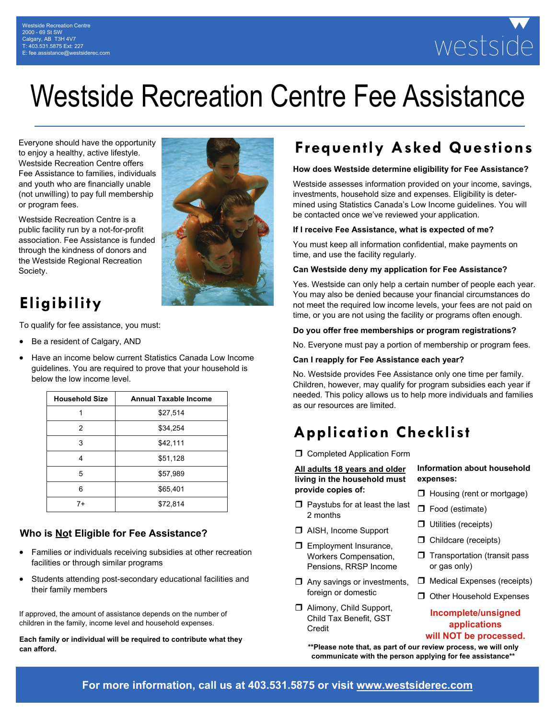# westside

## Westside Recreation Centre Fee Assistance

Everyone should have the opportunity to enjoy a healthy, active lifestyle. Westside Recreation Centre offers Fee Assistance to families, individuals and youth who are financially unable (not unwilling) to pay full membership or program fees.

Westside Recreation Centre is a public facility run by a not-for-profit association. Fee Assistance is funded through the kindness of donors and the Westside Regional Recreation Society.

## **Eligibility**

To qualify for fee assistance, you must:

- Be a resident of Calgary, AND
- Have an income below current Statistics Canada Low Income guidelines. You are required to prove that your household is below the low income level.

| <b>Household Size</b> | <b>Annual Taxable Income</b> |
|-----------------------|------------------------------|
|                       | \$27,514                     |
| 2                     | \$34,254                     |
| 3                     | \$42,111                     |
| 4                     | \$51,128                     |
| 5                     | \$57,989                     |
| 6                     | \$65,401                     |
| 7+                    | \$72,814                     |

#### **Who is Not Eligible for Fee Assistance?**

- Families or individuals receiving subsidies at other recreation facilities or through similar programs
- Students attending post-secondary educational facilities and their family members

If approved, the amount of assistance depends on the number of children in the family, income level and household expenses.

**Each family or individual will be required to contribute what they can afford.** 



## **Frequently Asked Questions**

#### **How does Westside determine eligibility for Fee Assistance?**

Westside assesses information provided on your income, savings, investments, household size and expenses. Eligibility is determined using Statistics Canada's Low Income guidelines. You will be contacted once we've reviewed your application.

#### **If I receive Fee Assistance, what is expected of me?**

You must keep all information confidential, make payments on time, and use the facility regularly.

#### **Can Westside deny my application for Fee Assistance?**

Yes. Westside can only help a certain number of people each year. You may also be denied because your financial circumstances do not meet the required low income levels, your fees are not paid on time, or you are not using the facility or programs often enough.

#### **Do you offer free memberships or program registrations?**

No. Everyone must pay a portion of membership or program fees.

#### **Can I reapply for Fee Assistance each year?**

No. Westside provides Fee Assistance only one time per family. Children, however, may qualify for program subsidies each year if needed. This policy allows us to help more individuals and families as our resources are limited.

## **Application Checklist**

**C** Completed Application Form

**All adults 18 years and older living in the household must provide copies of:**

- $\square$  Paystubs for at least the last 2 months
- AISH, Income Support
- $\Box$  Employment Insurance, Workers Compensation, Pensions, RRSP Income
- $\Box$  Any savings or investments, foreign or domestic
- Alimony, Child Support, Child Tax Benefit, GST Credit

**\*\*Please note that, as part of our review process, we will only communicate with the person applying for fee assistance\*\*** 

- **Information about household expenses:**
- $\Box$  Housing (rent or mortgage)
- □ Food (estimate)
- $\Box$  Utilities (receipts)
- $\Box$  Childcare (receipts)
- $\Box$  Transportation (transit pass or gas only)
- $\Box$  Medical Expenses (receipts)
- $\Box$  Other Household Expenses

#### **Incomplete/unsigned applications**

#### **will NOT be processed.**

**For more information, call us at 403.531.5875 or visit www.westsiderec.com**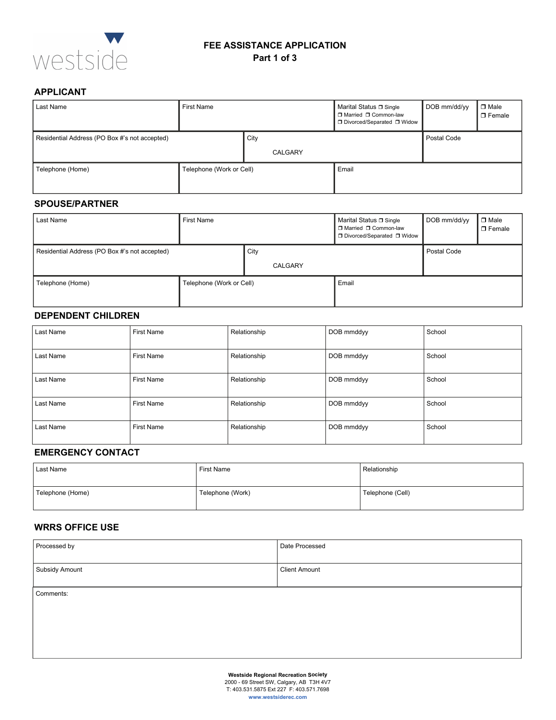

#### **FEE ASSISTANCE APPLICATION Part 1 of 3**

#### **APPLICANT**

| Last Name                                     | First Name               |                 | Marital Status □ Single<br>□ Married □ Common-law<br>□ Divorced/Separated □ Widow | DOB mm/dd/yy | $\Box$ Male<br>$\Box$ Female |
|-----------------------------------------------|--------------------------|-----------------|-----------------------------------------------------------------------------------|--------------|------------------------------|
| Residential Address (PO Box #'s not accepted) |                          | City<br>CALGARY |                                                                                   | Postal Code  |                              |
| Telephone (Home)                              | Telephone (Work or Cell) |                 | Email                                                                             |              |                              |

#### **SPOUSE/PARTNER**

| Last Name                                     | First Name               |                 | Marital Status □ Single<br>□ Married □ Common-law<br>□ Divorced/Separated □ Widow | DOB mm/dd/yy | $\Box$ Male<br>$\Box$ Female |
|-----------------------------------------------|--------------------------|-----------------|-----------------------------------------------------------------------------------|--------------|------------------------------|
| Residential Address (PO Box #'s not accepted) |                          | City<br>CALGARY |                                                                                   | Postal Code  |                              |
| Telephone (Home)                              | Telephone (Work or Cell) |                 | Email                                                                             |              |                              |

#### **DEPENDENT CHILDREN**

| Last Name | <b>First Name</b> | Relationship | DOB mmddyy | School |
|-----------|-------------------|--------------|------------|--------|
| Last Name | <b>First Name</b> | Relationship | DOB mmddyy | School |
| Last Name | <b>First Name</b> | Relationship | DOB mmddyy | School |
| Last Name | <b>First Name</b> | Relationship | DOB mmddyy | School |
| Last Name | <b>First Name</b> | Relationship | DOB mmddyy | School |

#### **EMERGENCY CONTACT**

| Last Name        | <b>First Name</b> | Relationship     |
|------------------|-------------------|------------------|
| Telephone (Home) | Telephone (Work)  | Telephone (Cell) |

#### **WRRS OFFICE USE**

| Processed by                                | Date Processed       |  |  |  |
|---------------------------------------------|----------------------|--|--|--|
| Subsidy Amount                              | <b>Client Amount</b> |  |  |  |
| Comments:                                   |                      |  |  |  |
|                                             |                      |  |  |  |
|                                             |                      |  |  |  |
| <b>Westside Regional Recreation Society</b> |                      |  |  |  |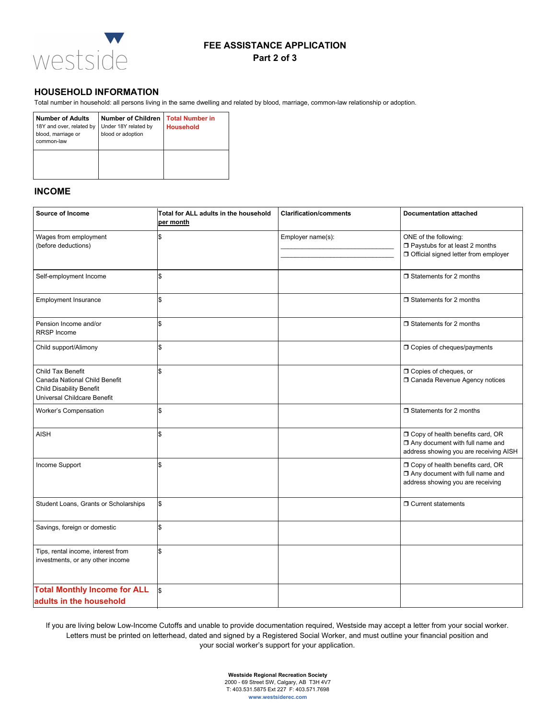

#### **FEE ASSISTANCE APPLICATION**

#### **Part 2 of 3**

#### **HOUSEHOLD INFORMATION**

Total number in household: all persons living in the same dwelling and related by blood, marriage, common-law relationship or adoption.

| <b>Number of Adults</b><br>18Y and over, related by<br>blood, marriage or<br>common-law | <b>Number of Children</b><br>Under 18Y related by<br>blood or adoption | <b>Total Number in</b><br><b>Household</b> |
|-----------------------------------------------------------------------------------------|------------------------------------------------------------------------|--------------------------------------------|
|                                                                                         |                                                                        |                                            |

#### **INCOME**

| <b>Source of Income</b>                                                                                              | Total for ALL adults in the household<br>per month | <b>Clarification/comments</b> | <b>Documentation attached</b>                                                                                   |
|----------------------------------------------------------------------------------------------------------------------|----------------------------------------------------|-------------------------------|-----------------------------------------------------------------------------------------------------------------|
| Wages from employment<br>(before deductions)                                                                         |                                                    | Employer name(s):             | ONE of the following:<br>Paystubs for at least 2 months<br>Official signed letter from employer                 |
| Self-employment Income                                                                                               | \$                                                 |                               | $\Box$ Statements for 2 months                                                                                  |
| Employment Insurance                                                                                                 | \$                                                 |                               | $\Box$ Statements for 2 months                                                                                  |
| Pension Income and/or<br><b>RRSP</b> Income                                                                          | \$                                                 |                               | $\Box$ Statements for 2 months                                                                                  |
| Child support/Alimony                                                                                                | \$                                                 |                               | □ Copies of cheques/payments                                                                                    |
| Child Tax Benefit<br>Canada National Child Benefit<br><b>Child Disability Benefit</b><br>Universal Childcare Benefit |                                                    |                               | <b>O</b> Copies of cheques, or<br><b>O Canada Revenue Agency notices</b>                                        |
| Worker's Compensation                                                                                                | \$                                                 |                               | $\Box$ Statements for 2 months                                                                                  |
| <b>AISH</b>                                                                                                          | \$                                                 |                               | O Copy of health benefits card, OR<br>Any document with full name and<br>address showing you are receiving AISH |
| Income Support                                                                                                       | \$                                                 |                               | O Copy of health benefits card, OR<br>Any document with full name and<br>address showing you are receiving      |
| Student Loans, Grants or Scholarships                                                                                | S.                                                 |                               | □ Current statements                                                                                            |
| Savings, foreign or domestic                                                                                         | \$                                                 |                               |                                                                                                                 |
| Tips, rental income, interest from<br>investments, or any other income                                               | \$                                                 |                               |                                                                                                                 |
| <b>Total Monthly Income for ALL</b><br>adults in the household                                                       | l\$                                                |                               |                                                                                                                 |

If you are living below Low-Income Cutoffs and unable to provide documentation required, Westside may accept a letter from your social worker. Letters must be printed on letterhead, dated and signed by a Registered Social Worker, and must outline your financial position and your social worker's support for your application.